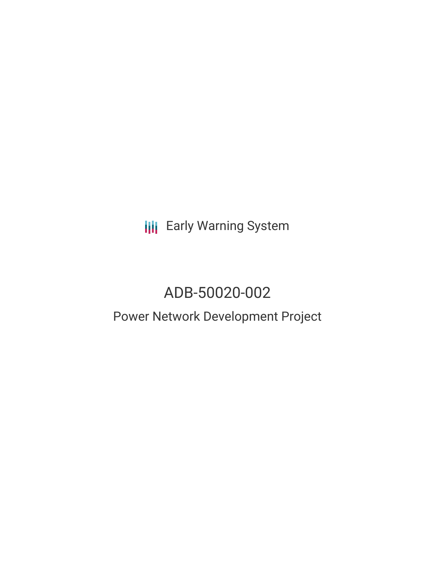**III** Early Warning System

# ADB-50020-002

## Power Network Development Project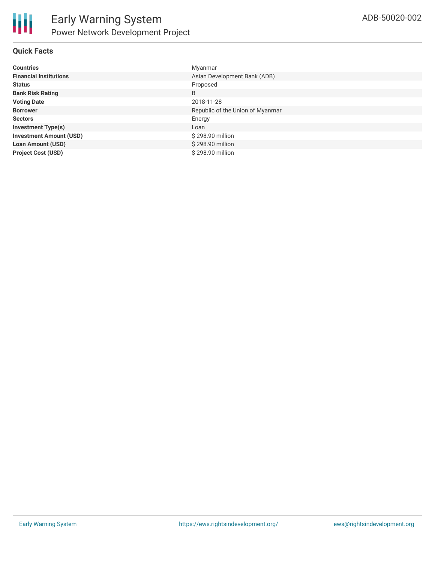

## **Quick Facts**

| <b>Countries</b>               | Myanmar                          |
|--------------------------------|----------------------------------|
| <b>Financial Institutions</b>  | Asian Development Bank (ADB)     |
| <b>Status</b>                  | Proposed                         |
| <b>Bank Risk Rating</b>        | B                                |
| <b>Voting Date</b>             | 2018-11-28                       |
| <b>Borrower</b>                | Republic of the Union of Myanmar |
| <b>Sectors</b>                 | Energy                           |
| <b>Investment Type(s)</b>      | Loan                             |
| <b>Investment Amount (USD)</b> | \$298.90 million                 |
| <b>Loan Amount (USD)</b>       | \$298.90 million                 |
| <b>Project Cost (USD)</b>      | \$298.90 million                 |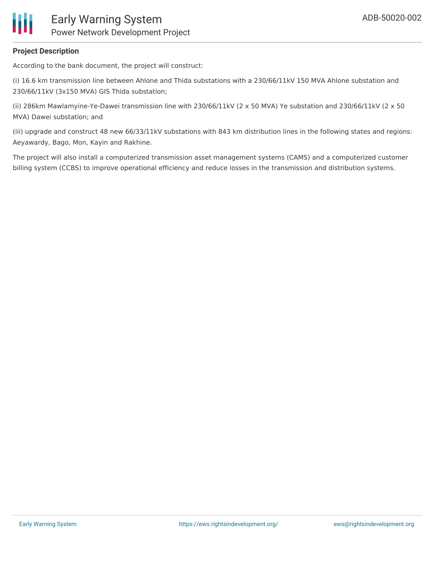

## **Project Description**

According to the bank document, the project will construct:

(i) 16.6 km transmission line between Ahlone and Thida substations with a 230/66/11kV 150 MVA Ahlone substation and 230/66/11kV (3x150 MVA) GIS Thida substation;

(ii) 286km Mawlamyine-Ye-Dawei transmission line with 230/66/11kV (2 x 50 MVA) Ye substation and 230/66/11kV (2 x 50 MVA) Dawei substation; and

(iii) upgrade and construct 48 new 66/33/11kV substations with 843 km distribution lines in the following states and regions: Aeyawardy, Bago, Mon, Kayin and Rakhine.

The project will also install a computerized transmission asset management systems (CAMS) and a computerized customer billing system (CCBS) to improve operational efficiency and reduce losses in the transmission and distribution systems.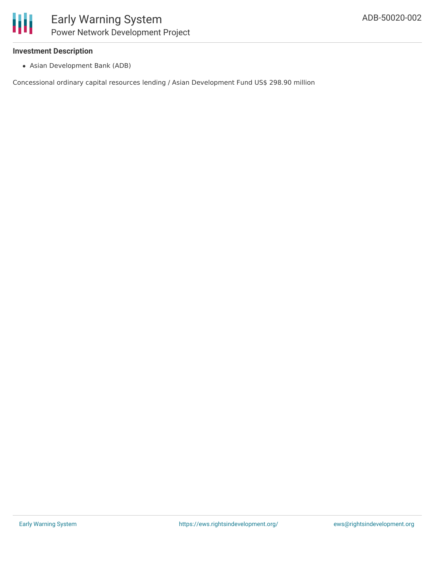#### **Investment Description**

Asian Development Bank (ADB)

Concessional ordinary capital resources lending / Asian Development Fund US\$ 298.90 million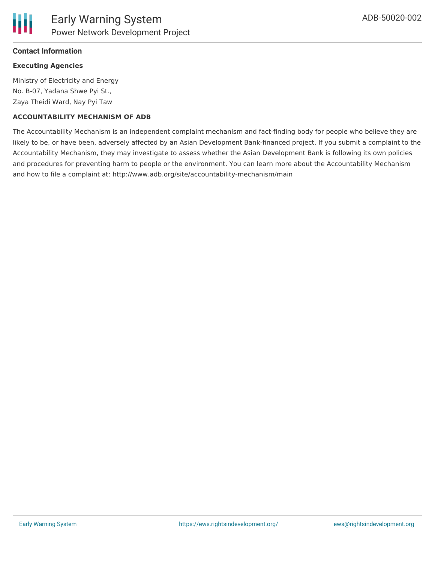## **Contact Information**

## **Executing Agencies**

Ministry of Electricity and Energy No. B-07, Yadana Shwe Pyi St., Zaya Theidi Ward, Nay Pyi Taw

## **ACCOUNTABILITY MECHANISM OF ADB**

The Accountability Mechanism is an independent complaint mechanism and fact-finding body for people who believe they are likely to be, or have been, adversely affected by an Asian Development Bank-financed project. If you submit a complaint to the Accountability Mechanism, they may investigate to assess whether the Asian Development Bank is following its own policies and procedures for preventing harm to people or the environment. You can learn more about the Accountability Mechanism and how to file a complaint at: http://www.adb.org/site/accountability-mechanism/main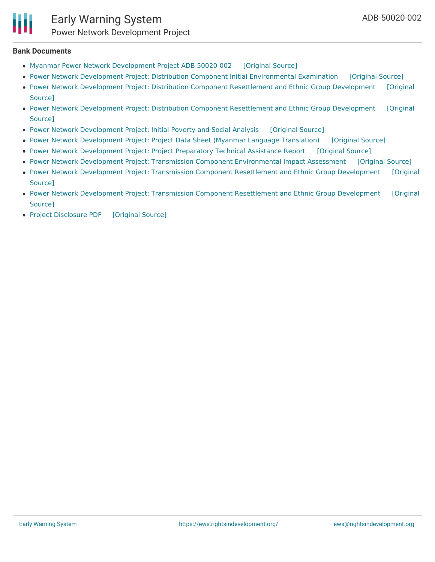#### **Bank Documents**

- Myanmar Power Network [Development](https://ewsdata.rightsindevelopment.org/files/documents/02/ADB-50020-002_W3q8MDn.pdf) Project ADB 50020-002 [\[Original](http://www.adb.org/projects/50020-002/main#project-pds) Source]
- Power Network Development Project: Distribution Component Initial [Environmental](https://ewsdata.rightsindevelopment.org/files/documents/02/ADB-50020-002_rJEbtzz.pdf) Examination [\[Original](https://www.adb.org/projects/documents/mya-50020-002-iee) Source]
- Power Network Development Project: Distribution Component [Resettlement](https://ewsdata.rightsindevelopment.org/files/documents/02/ADB-50020-002_aBS4Mnz.pdf) and Ethnic Group Development [Original Source]
- Power Network Development Project: Distribution Component [Resettlement](https://ewsdata.rightsindevelopment.org/files/documents/02/ADB-50020-002_84vQUIu.pdf) and Ethnic Group Development [Original Source]
- Power Network [Development](https://ewsdata.rightsindevelopment.org/files/documents/02/ADB-50020-002_ChAT30C.pdf) Project: Initial Poverty and Social Analysis [\[Original](https://www.adb.org/projects/documents/mya-power-network-dev-project-ipsa) Source]
- Power Network [Development](https://ewsdata.rightsindevelopment.org/files/documents/02/ADB-50020-002_1dKuu4M.pdf) Project: Project Data Sheet (Myanmar Language Translation) [\[Original](https://www.adb.org/my/projects/documents/50020-002-project-data-sheet) Source]
- Power Network [Development](https://ewsdata.rightsindevelopment.org/files/documents/02/ADB-50020-002_iuVXqIZ.pdf) Project: Project Preparatory Technical Assistance Report [\[Original](https://www.adb.org/projects/documents/mya-power-network-dev-project-pptar) Source]
- Power Network Development Project: Transmission Component [Environmental](https://ewsdata.rightsindevelopment.org/files/documents/02/ADB-50020-002_TSbm3Cq.pdf) Impact Assessment [\[Original](https://www.adb.org/projects/documents/mya-50020-002-eia) Source]
- Power Network Development Project: Transmission Component [Resettlement](https://ewsdata.rightsindevelopment.org/files/documents/02/ADB-50020-002_5ZqRq8z.pdf) and Ethnic Group Development [Original Source]
- Power Network Development Project: Transmission Component [Resettlement](https://ewsdata.rightsindevelopment.org/files/documents/02/ADB-50020-002_VU5oeFm.pdf) and Ethnic Group Development [Original Source]
- Project [Disclosure](https://ewsdata.rightsindevelopment.org/files/documents/02/ADB-50020-002.pdf) PDF [\[Original](https://www.adb.org/printpdf/projects/50020-002/main) Source]